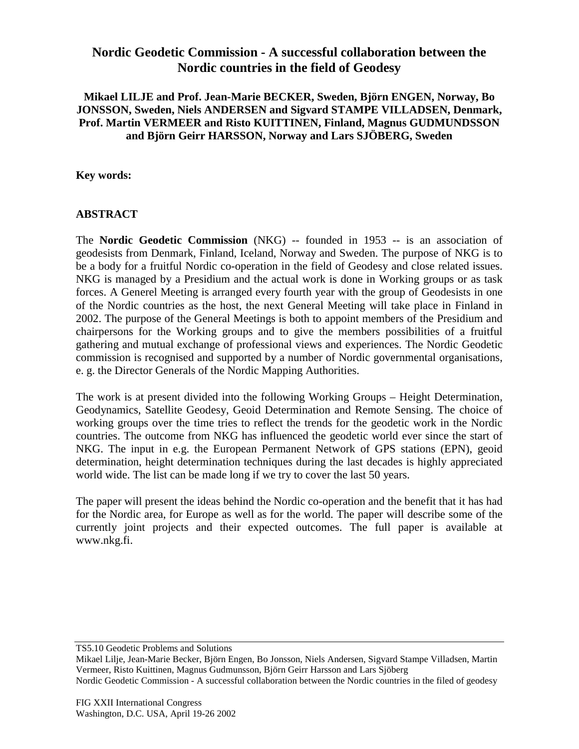## **Nordic Geodetic Commission - A successful collaboration between the Nordic countries in the field of Geodesy**

## **Mikael LILJE and Prof. Jean-Marie BECKER, Sweden, Björn ENGEN, Norway, Bo JONSSON, Sweden, Niels ANDERSEN and Sigvard STAMPE VILLADSEN, Denmark, Prof. Martin VERMEER and Risto KUITTINEN, Finland, Magnus GUDMUNDSSON and Björn Geirr HARSSON, Norway and Lars SJÖBERG, Sweden**

**Key words:**

## **ABSTRACT**

The **Nordic Geodetic Commission** (NKG) -- founded in 1953 -- is an association of geodesists from Denmark, Finland, Iceland, Norway and Sweden. The purpose of NKG is to be a body for a fruitful Nordic co-operation in the field of Geodesy and close related issues. NKG is managed by a Presidium and the actual work is done in Working groups or as task forces. A Generel Meeting is arranged every fourth year with the group of Geodesists in one of the Nordic countries as the host, the next General Meeting will take place in Finland in 2002. The purpose of the General Meetings is both to appoint members of the Presidium and chairpersons for the Working groups and to give the members possibilities of a fruitful gathering and mutual exchange of professional views and experiences. The Nordic Geodetic commission is recognised and supported by a number of Nordic governmental organisations, e. g. the Director Generals of the Nordic Mapping Authorities.

The work is at present divided into the following Working Groups – Height Determination, Geodynamics, Satellite Geodesy, Geoid Determination and Remote Sensing. The choice of working groups over the time tries to reflect the trends for the geodetic work in the Nordic countries. The outcome from NKG has influenced the geodetic world ever since the start of NKG. The input in e.g. the European Permanent Network of GPS stations (EPN), geoid determination, height determination techniques during the last decades is highly appreciated world wide. The list can be made long if we try to cover the last 50 years.

The paper will present the ideas behind the Nordic co-operation and the benefit that it has had for the Nordic area, for Europe as well as for the world. The paper will describe some of the currently joint projects and their expected outcomes. The full paper is available at www.nkg.fi.

Mikael Lilje, Jean-Marie Becker, Björn Engen, Bo Jonsson, Niels Andersen, Sigvard Stampe Villadsen, Martin Vermeer, Risto Kuittinen, Magnus Gudmunsson, Björn Geirr Harsson and Lars Sjöberg Nordic Geodetic Commission - A successful collaboration between the Nordic countries in the filed of geodesy

TS5.10 Geodetic Problems and Solutions